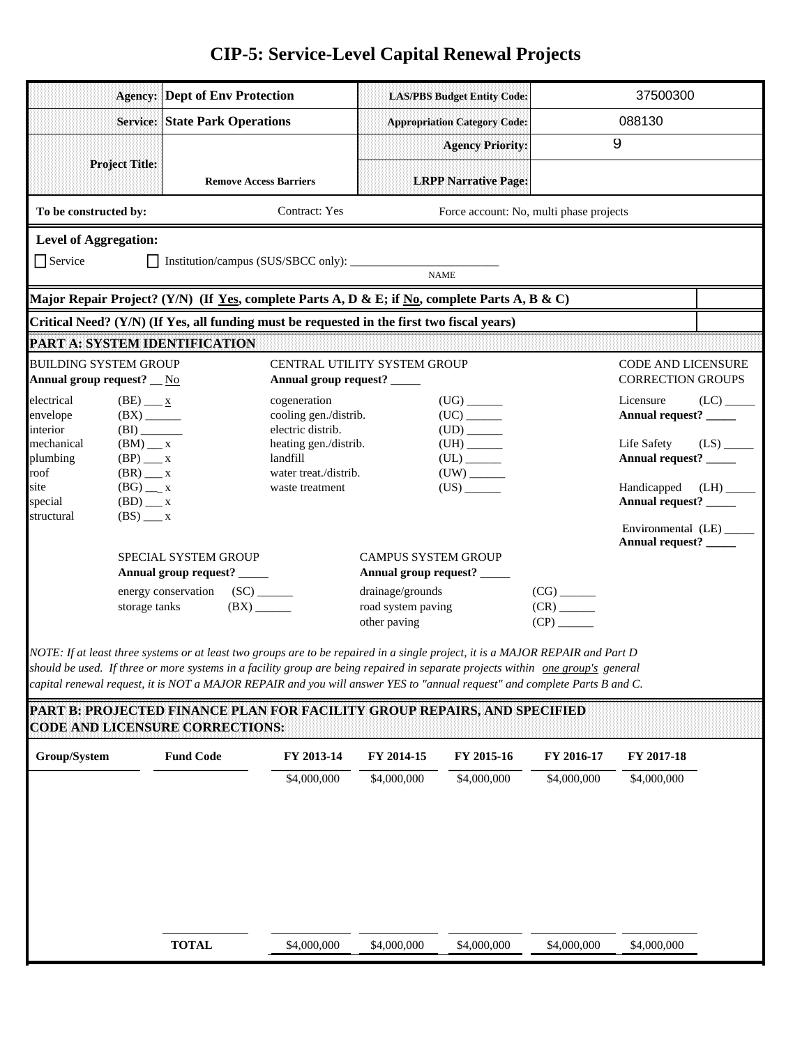## **CIP-5: Service-Level Capital Renewal Projects**

|                                                                                                                                                                                                                                                                                                                                                                                                | <b>Agency: Dept of Env Protection</b>                  |                                                             |                                        | <b>LAS/PBS Budget Entity Code:</b>      |                                                      | 37500300                                              |                        |  |  |
|------------------------------------------------------------------------------------------------------------------------------------------------------------------------------------------------------------------------------------------------------------------------------------------------------------------------------------------------------------------------------------------------|--------------------------------------------------------|-------------------------------------------------------------|----------------------------------------|-----------------------------------------|------------------------------------------------------|-------------------------------------------------------|------------------------|--|--|
|                                                                                                                                                                                                                                                                                                                                                                                                | <b>Service: State Park Operations</b>                  |                                                             |                                        | <b>Appropriation Category Code:</b>     |                                                      | 088130                                                |                        |  |  |
|                                                                                                                                                                                                                                                                                                                                                                                                |                                                        |                                                             |                                        | <b>Agency Priority:</b>                 |                                                      | 9                                                     |                        |  |  |
| <b>Project Title:</b>                                                                                                                                                                                                                                                                                                                                                                          |                                                        | <b>Remove Access Barriers</b>                               |                                        | <b>LRPP Narrative Page:</b>             |                                                      |                                                       |                        |  |  |
| To be constructed by:                                                                                                                                                                                                                                                                                                                                                                          |                                                        | Contract: Yes                                               |                                        | Force account: No, multi phase projects |                                                      |                                                       |                        |  |  |
| <b>Level of Aggregation:</b>                                                                                                                                                                                                                                                                                                                                                                   |                                                        |                                                             |                                        |                                         |                                                      |                                                       |                        |  |  |
| $\bigcap$ Service                                                                                                                                                                                                                                                                                                                                                                              |                                                        |                                                             |                                        | <b>NAME</b>                             |                                                      |                                                       |                        |  |  |
| Major Repair Project? (Y/N) (If Yes, complete Parts A, D & E; if No, complete Parts A, B & C)                                                                                                                                                                                                                                                                                                  |                                                        |                                                             |                                        |                                         |                                                      |                                                       |                        |  |  |
| Critical Need? (Y/N) (If Yes, all funding must be requested in the first two fiscal years)                                                                                                                                                                                                                                                                                                     |                                                        |                                                             |                                        |                                         |                                                      |                                                       |                        |  |  |
| PART A: SYSTEM IDENTIFICATION                                                                                                                                                                                                                                                                                                                                                                  |                                                        |                                                             |                                        |                                         |                                                      |                                                       |                        |  |  |
| <b>BUILDING SYSTEM GROUP</b><br>Annual group request? _ No                                                                                                                                                                                                                                                                                                                                     |                                                        | CENTRAL UTILITY SYSTEM GROUP<br>Annual group request? _____ |                                        |                                         |                                                      | <b>CODE AND LICENSURE</b><br><b>CORRECTION GROUPS</b> |                        |  |  |
| electrical<br>$(BE)$ <u>x</u><br>envelope<br>interior                                                                                                                                                                                                                                                                                                                                          | $(BX)$ <sub>______</sub><br>$(BI)$ <sub>________</sub> | cogeneration<br>cooling gen./distrib.<br>electric distrib.  |                                        | $(UG)$ <sub>_______</sub>               |                                                      | Licensure<br>Annual request? _____                    |                        |  |  |
| mechanical<br>$(BM)$ _ x                                                                                                                                                                                                                                                                                                                                                                       |                                                        | heating gen./distrib.                                       |                                        | ${\rm (UH)} \xrightarrow{\phantom{a}}$  |                                                      | Life Safety                                           | $(LS)$ <sub>____</sub> |  |  |
| plumbing<br>$(BP)$ __ x<br>$(BR)$ <sub>__</sub> x<br>roof                                                                                                                                                                                                                                                                                                                                      |                                                        | landfill<br>water treat./distrib.                           |                                        |                                         |                                                      | Annual request? ______                                |                        |  |  |
| site<br>$(BG)$ __ x                                                                                                                                                                                                                                                                                                                                                                            |                                                        | waste treatment                                             |                                        | $(US)$ <sub>_______</sub>               |                                                      | Handicapped                                           | (LH)                   |  |  |
| $(BD)$ __ x<br>special<br>structural<br>$(BS)$ $\_\_$ x                                                                                                                                                                                                                                                                                                                                        |                                                        |                                                             |                                        |                                         |                                                      | Annual request? ______                                |                        |  |  |
|                                                                                                                                                                                                                                                                                                                                                                                                |                                                        |                                                             |                                        |                                         |                                                      | Environmental (LE) _____<br>Annual request? _____     |                        |  |  |
|                                                                                                                                                                                                                                                                                                                                                                                                | SPECIAL SYSTEM GROUP                                   |                                                             | <b>CAMPUS SYSTEM GROUP</b>             |                                         |                                                      |                                                       |                        |  |  |
|                                                                                                                                                                                                                                                                                                                                                                                                | Annual group request? _____                            |                                                             | Annual group request? _____            |                                         |                                                      |                                                       |                        |  |  |
|                                                                                                                                                                                                                                                                                                                                                                                                | energy conservation (SC) _______<br>storage tanks      | $(BX)$ <sub>______</sub>                                    | drainage/grounds<br>road system paving |                                         | $(CG)$ <sub>_______</sub><br>$(CR)$ <sub>_____</sub> |                                                       |                        |  |  |
|                                                                                                                                                                                                                                                                                                                                                                                                |                                                        |                                                             | other paving                           |                                         |                                                      |                                                       |                        |  |  |
| NOTE: If at least three systems or at least two groups are to be repaired in a single project, it is a MAJOR REPAIR and Part D<br>should be used. If three or more systems in a facility group are being repaired in separate projects within one group's general<br>capital renewal request, it is NOT a MAJOR REPAIR and you will answer YES to "annual request" and complete Parts B and C. |                                                        |                                                             |                                        |                                         |                                                      |                                                       |                        |  |  |
| PART B: PROJECTED FINANCE PLAN FOR FACILITY GROUP REPAIRS, AND SPECIFIED<br><b>CODE AND LICENSURE CORRECTIONS:</b>                                                                                                                                                                                                                                                                             |                                                        |                                                             |                                        |                                         |                                                      |                                                       |                        |  |  |
| Group/System                                                                                                                                                                                                                                                                                                                                                                                   | <b>Fund Code</b>                                       | FY 2013-14                                                  | FY 2014-15                             | FY 2015-16                              | FY 2016-17                                           | FY 2017-18                                            |                        |  |  |
|                                                                                                                                                                                                                                                                                                                                                                                                |                                                        | \$4,000,000                                                 | \$4,000,000                            | \$4,000,000                             | \$4,000,000                                          | \$4,000,000                                           |                        |  |  |
|                                                                                                                                                                                                                                                                                                                                                                                                |                                                        |                                                             |                                        |                                         |                                                      |                                                       |                        |  |  |
|                                                                                                                                                                                                                                                                                                                                                                                                |                                                        |                                                             |                                        |                                         |                                                      |                                                       |                        |  |  |
|                                                                                                                                                                                                                                                                                                                                                                                                |                                                        |                                                             |                                        |                                         |                                                      |                                                       |                        |  |  |
|                                                                                                                                                                                                                                                                                                                                                                                                |                                                        |                                                             |                                        |                                         |                                                      |                                                       |                        |  |  |
|                                                                                                                                                                                                                                                                                                                                                                                                |                                                        |                                                             |                                        |                                         |                                                      |                                                       |                        |  |  |
|                                                                                                                                                                                                                                                                                                                                                                                                |                                                        |                                                             |                                        |                                         |                                                      |                                                       |                        |  |  |
|                                                                                                                                                                                                                                                                                                                                                                                                | <b>TOTAL</b>                                           | \$4,000,000                                                 | \$4,000,000                            | \$4,000,000                             | \$4,000,000                                          | \$4,000,000                                           |                        |  |  |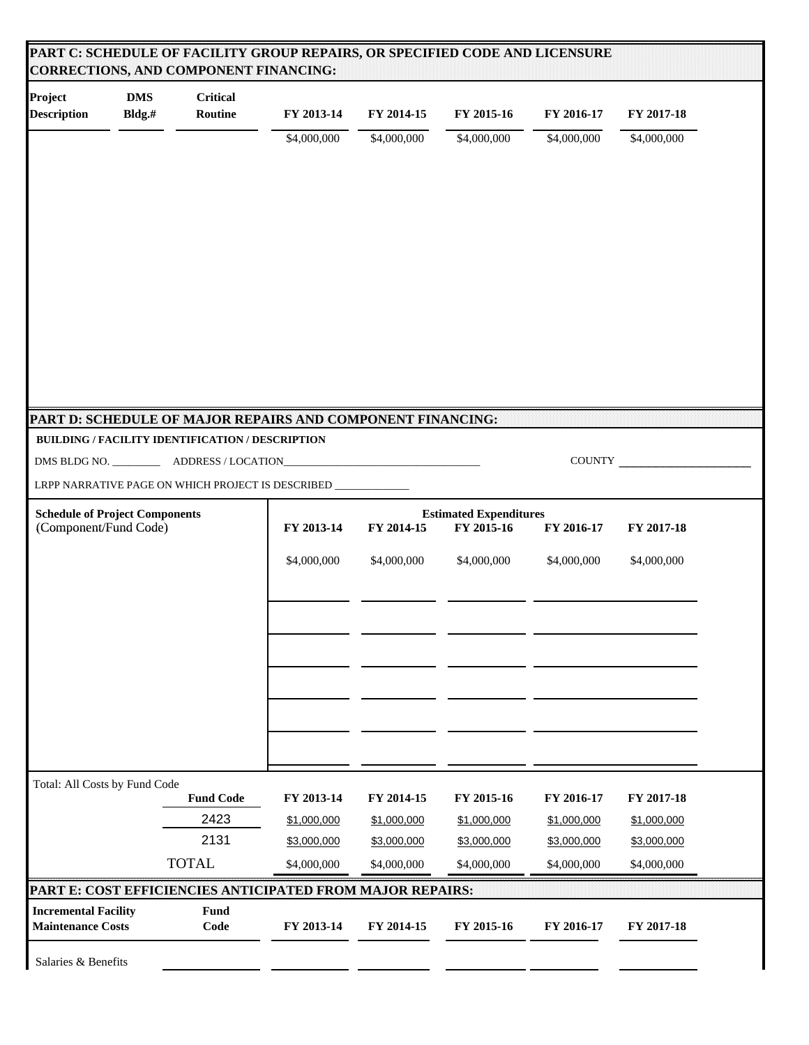| Project<br><b>Description</b>                                  | <b>DMS</b><br>Bldg.# | <b>Critical</b><br>Routine | FY 2013-14  | FY 2014-15  | FY 2015-16                                                              | FY 2016-17  | FY 2017-18  |  |
|----------------------------------------------------------------|----------------------|----------------------------|-------------|-------------|-------------------------------------------------------------------------|-------------|-------------|--|
|                                                                |                      |                            | \$4,000,000 | \$4,000,000 | \$4,000,000                                                             | \$4,000,000 | \$4,000,000 |  |
|                                                                |                      |                            |             |             |                                                                         |             |             |  |
|                                                                |                      |                            |             |             |                                                                         |             |             |  |
| PART D: SCHEDULE OF MAJOR REPAIRS AND COMPONENT FINANCING:     |                      |                            |             |             |                                                                         |             |             |  |
| BUILDING / FACILITY IDENTIFICATION / DESCRIPTION               |                      |                            |             |             |                                                                         |             |             |  |
|                                                                |                      |                            |             |             |                                                                         |             | COUNTY      |  |
| LRPP NARRATIVE PAGE ON WHICH PROJECT IS DESCRIBED ____________ |                      |                            |             |             |                                                                         |             |             |  |
| <b>Schedule of Project Components</b><br>(Component/Fund Code) |                      |                            | FY 2013-14  | FY 2014-15  | <b>Estimated Expenditures</b><br>FY 2015-16<br>FY 2016-17<br>FY 2017-18 |             |             |  |
|                                                                |                      |                            | \$4,000,000 | \$4,000,000 | \$4,000,000                                                             | \$4,000,000 | \$4,000,000 |  |
|                                                                |                      |                            |             |             |                                                                         |             |             |  |
|                                                                |                      |                            |             |             |                                                                         |             |             |  |
|                                                                |                      |                            |             |             |                                                                         |             |             |  |
|                                                                |                      | <b>Fund Code</b>           | FY 2013-14  | FY 2014-15  | FY 2015-16                                                              | FY 2016-17  | FY 2017-18  |  |
|                                                                |                      |                            |             | \$1,000,000 | \$1,000,000                                                             | \$1,000,000 | \$1,000,000 |  |
| Total: All Costs by Fund Code                                  |                      | 2423                       | \$1,000,000 |             |                                                                         |             |             |  |
|                                                                |                      | 2131                       | \$3,000,000 | \$3,000,000 | \$3,000,000                                                             | \$3,000,000 | \$3,000,000 |  |
|                                                                |                      | <b>TOTAL</b>               | \$4,000,000 | \$4,000,000 | \$4,000,000                                                             | \$4,000,000 | \$4,000,000 |  |
| PART E: COST EFFICIENCIES ANTICIPATED FROM MAJOR REPAIRS:      |                      |                            |             |             |                                                                         |             |             |  |
| <b>Incremental Facility</b><br><b>Maintenance Costs</b>        |                      | <b>Fund</b><br>Code        | FY 2013-14  | FY 2014-15  | FY 2015-16                                                              | FY 2016-17  | FY 2017-18  |  |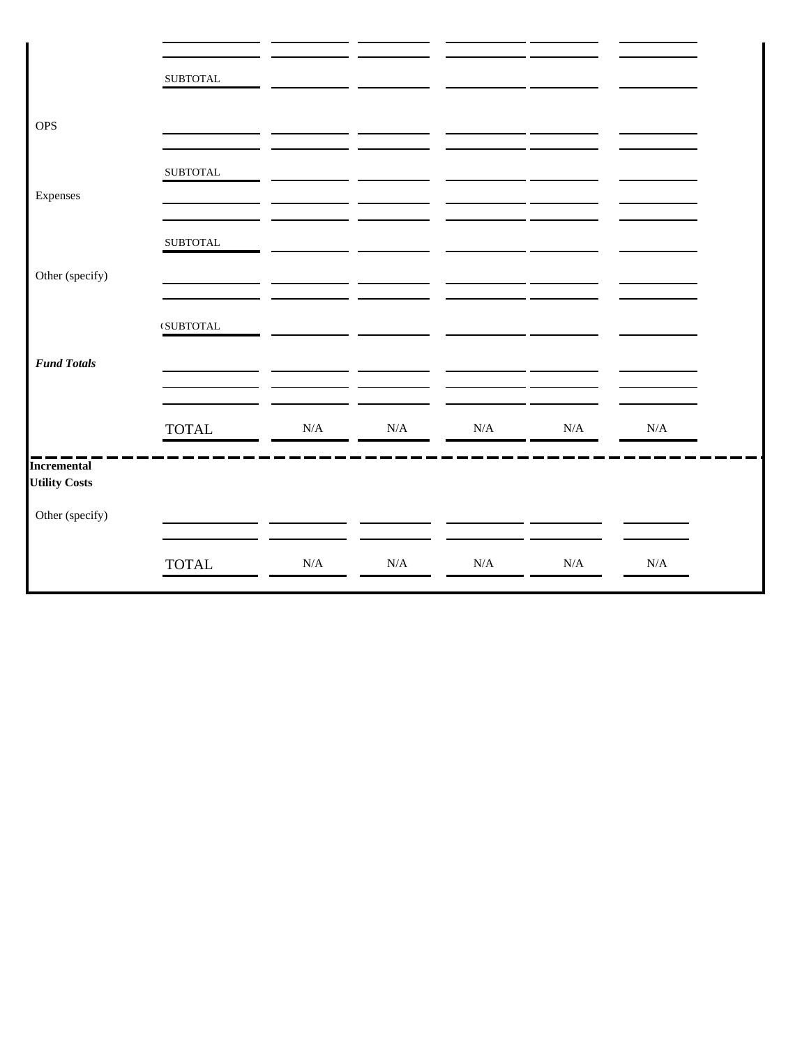|                      | ${\tt SUBTOTAL}$                          |           |           |           |           |           |  |
|----------------------|-------------------------------------------|-----------|-----------|-----------|-----------|-----------|--|
|                      |                                           |           |           |           |           |           |  |
|                      |                                           |           |           |           |           |           |  |
|                      |                                           |           |           |           |           |           |  |
| <b>OPS</b>           |                                           |           |           |           |           |           |  |
|                      |                                           |           |           |           |           |           |  |
|                      |                                           |           |           |           |           |           |  |
|                      | ${\tt SUBTOTAL}$                          |           |           |           |           |           |  |
|                      |                                           |           |           |           |           |           |  |
| Expenses             |                                           |           |           |           |           |           |  |
|                      |                                           |           |           |           |           |           |  |
|                      |                                           |           |           |           |           |           |  |
|                      |                                           |           |           |           |           |           |  |
|                      | ${\tt SUBTOTAL}$                          |           |           |           |           |           |  |
|                      |                                           |           |           |           |           |           |  |
|                      |                                           |           |           |           |           |           |  |
| Other (specify)      |                                           |           |           |           |           |           |  |
|                      |                                           |           |           |           |           |           |  |
|                      |                                           |           |           |           |           |           |  |
|                      |                                           |           |           |           |           |           |  |
|                      | $\ensuremath{\mathsf{t}}\xspace$ SUBTOTAL |           |           |           |           |           |  |
|                      |                                           |           |           |           |           |           |  |
|                      |                                           |           |           |           |           |           |  |
| <b>Fund Totals</b>   |                                           |           |           |           |           |           |  |
|                      |                                           |           |           |           |           |           |  |
|                      |                                           |           |           |           |           |           |  |
|                      |                                           |           |           |           |           |           |  |
|                      |                                           |           |           |           |           |           |  |
|                      | <b>TOTAL</b>                              | $\rm N/A$ | $\rm N/A$ | $\rm N/A$ | $\rm N/A$ | $\rm N/A$ |  |
|                      |                                           |           |           |           |           |           |  |
|                      |                                           |           |           |           |           |           |  |
| <b>Incremental</b>   |                                           |           |           |           |           |           |  |
| <b>Utility Costs</b> |                                           |           |           |           |           |           |  |
|                      |                                           |           |           |           |           |           |  |
|                      |                                           |           |           |           |           |           |  |
| Other (specify)      |                                           |           |           |           |           |           |  |
|                      |                                           |           |           |           |           |           |  |
|                      |                                           |           |           |           |           |           |  |
|                      |                                           |           |           |           |           |           |  |
|                      | <b>TOTAL</b>                              | $\rm N/A$ | N/A       | $\rm N/A$ | $\rm N/A$ | $\rm N/A$ |  |
|                      |                                           |           |           |           |           |           |  |
|                      |                                           |           |           |           |           |           |  |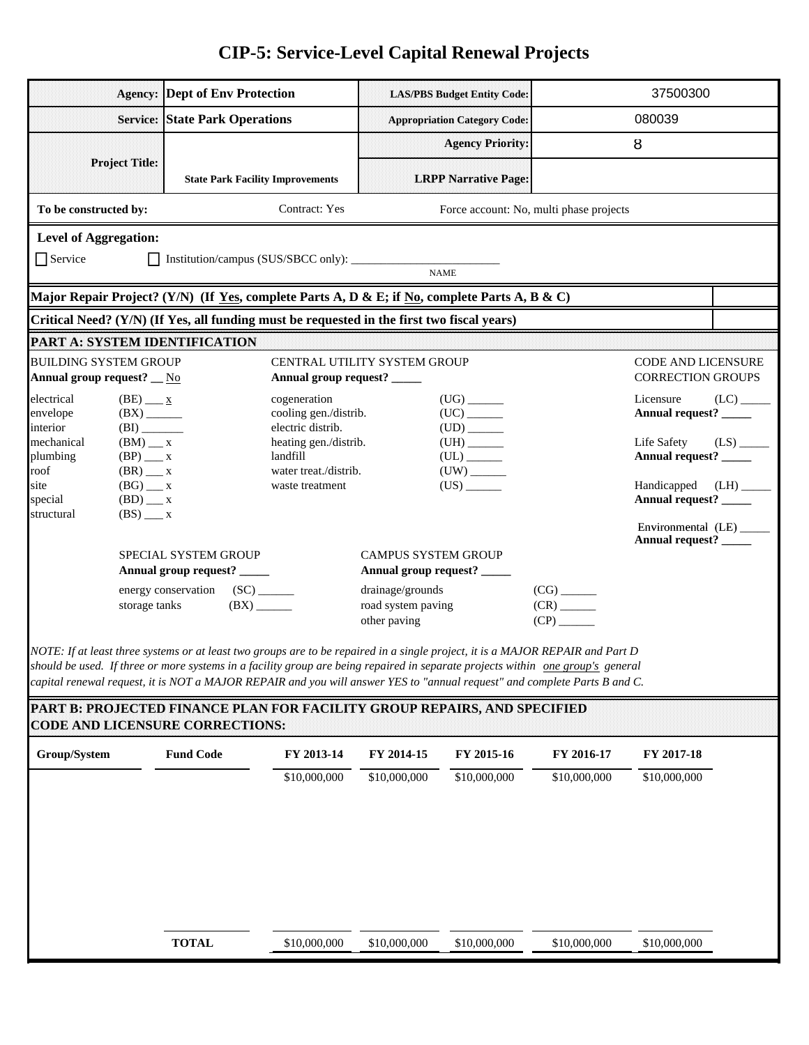## **CIP-5: Service-Level Capital Renewal Projects**

|                               |                                                        | <b>Agency: Dept of Env Protection</b>                                                                                           |                                       |                                        | <b>LAS/PBS Budget Entity Code:</b>  |                                         | 37500300                                    |                         |
|-------------------------------|--------------------------------------------------------|---------------------------------------------------------------------------------------------------------------------------------|---------------------------------------|----------------------------------------|-------------------------------------|-----------------------------------------|---------------------------------------------|-------------------------|
|                               |                                                        | <b>Service: State Park Operations</b>                                                                                           |                                       |                                        | <b>Appropriation Category Code:</b> |                                         | 080039                                      |                         |
|                               |                                                        |                                                                                                                                 |                                       |                                        | <b>Agency Priority:</b>             |                                         | 8                                           |                         |
| <b>Project Title:</b>         |                                                        |                                                                                                                                 |                                       |                                        |                                     |                                         |                                             |                         |
|                               |                                                        | <b>State Park Facility Improvements</b>                                                                                         |                                       |                                        | <b>LRPP Narrative Page:</b>         |                                         |                                             |                         |
| To be constructed by:         |                                                        |                                                                                                                                 | Contract: Yes                         |                                        |                                     | Force account: No, multi phase projects |                                             |                         |
| <b>Level of Aggregation:</b>  |                                                        |                                                                                                                                 |                                       |                                        |                                     |                                         |                                             |                         |
| $\Box$ Service                |                                                        |                                                                                                                                 |                                       |                                        | <b>NAME</b>                         |                                         |                                             |                         |
|                               |                                                        | Major Repair Project? (Y/N) (If Yes, complete Parts A, D & E; if No, complete Parts A, B & C)                                   |                                       |                                        |                                     |                                         |                                             |                         |
|                               |                                                        | Critical Need? (Y/N) (If Yes, all funding must be requested in the first two fiscal years)                                      |                                       |                                        |                                     |                                         |                                             |                         |
| PART A: SYSTEM IDENTIFICATION |                                                        |                                                                                                                                 |                                       |                                        |                                     |                                         |                                             |                         |
| <b>BUILDING SYSTEM GROUP</b>  |                                                        |                                                                                                                                 | CENTRAL UTILITY SYSTEM GROUP          |                                        |                                     |                                         | CODE AND LICENSURE                          |                         |
| Annual group request? _ No    |                                                        |                                                                                                                                 | Annual group request? _____           |                                        |                                     |                                         | <b>CORRECTION GROUPS</b>                    |                         |
| electrical<br>envelope        | $(BE)$ __ $\underline{x}$<br>$(BX)$ <sub>_______</sub> |                                                                                                                                 | cogeneration<br>cooling gen./distrib. |                                        | $({\rm UC})$                        |                                         | Licensure<br>Annual request? ______         | $(LC)$ <sub>_____</sub> |
| interior                      | $(BI)$ <sub>_________</sub>                            |                                                                                                                                 | electric distrib.                     |                                        |                                     |                                         |                                             |                         |
| mechanical                    | $(BM)$ _ x                                             |                                                                                                                                 | heating gen./distrib.<br>landfill     |                                        | $(UH)$ <sub>_______</sub>           |                                         | Life Safety                                 |                         |
| plumbing<br>roof              | $(BP)$ __ x<br>$(BR)$ $\_\_$ x                         |                                                                                                                                 | water treat./distrib.                 |                                        | $(UL)$ <sub>_______</sub>           |                                         | Annual request? _____                       |                         |
| site                          | $(BG)$ __ x                                            |                                                                                                                                 | waste treatment                       |                                        | $(US)$ <sub>_______</sub>           |                                         | Handicapped                                 | (LH)                    |
| special<br>structural         | $(BD)$ $\_\_$ x                                        |                                                                                                                                 |                                       |                                        |                                     |                                         | Annual request? ______                      |                         |
|                               | $(BS)$ $\_\_$ x                                        |                                                                                                                                 |                                       |                                        |                                     |                                         | Environmental (LE)<br>Annual request? _____ |                         |
|                               |                                                        | SPECIAL SYSTEM GROUP                                                                                                            |                                       | <b>CAMPUS SYSTEM GROUP</b>             |                                     |                                         |                                             |                         |
|                               |                                                        | Annual group request? _____                                                                                                     |                                       | Annual group request? _____            |                                     |                                         |                                             |                         |
|                               | storage tanks                                          | energy conservation<br>SC)<br>$(BX)$ <sub>______</sub>                                                                          |                                       | drainage/grounds<br>road system paving |                                     |                                         |                                             |                         |
|                               |                                                        |                                                                                                                                 |                                       | other paving                           |                                     | $(CP)$ <sub>______</sub>                |                                             |                         |
|                               |                                                        | NOTE: If at least three systems or at least two groups are to be repaired in a single project, it is a MAJOR REPAIR and Part D  |                                       |                                        |                                     |                                         |                                             |                         |
|                               |                                                        | should be used. If three or more systems in a facility group are being repaired in separate projects within one group's general |                                       |                                        |                                     |                                         |                                             |                         |
|                               |                                                        | capital renewal request, it is NOT a MAJOR REPAIR and you will answer YES to "annual request" and complete Parts B and C.       |                                       |                                        |                                     |                                         |                                             |                         |
|                               |                                                        | PART B: PROJECTED FINANCE PLAN FOR FACILITY GROUP REPAIRS, AND SPECIFIED<br><b>CODE AND LICENSURE CORRECTIONS:</b>              |                                       |                                        |                                     |                                         |                                             |                         |
|                               |                                                        |                                                                                                                                 |                                       |                                        |                                     |                                         |                                             |                         |
| Group/System                  |                                                        | <b>Fund Code</b>                                                                                                                | FY 2013-14                            | FY 2014-15                             | FY 2015-16                          | FY 2016-17                              | FY 2017-18                                  |                         |
|                               |                                                        |                                                                                                                                 | \$10,000,000                          | \$10,000,000                           | \$10,000,000                        | \$10,000,000                            | \$10,000,000                                |                         |
|                               |                                                        |                                                                                                                                 |                                       |                                        |                                     |                                         |                                             |                         |
|                               |                                                        |                                                                                                                                 |                                       |                                        |                                     |                                         |                                             |                         |
|                               |                                                        |                                                                                                                                 |                                       |                                        |                                     |                                         |                                             |                         |
|                               |                                                        |                                                                                                                                 |                                       |                                        |                                     |                                         |                                             |                         |
|                               |                                                        |                                                                                                                                 |                                       |                                        |                                     |                                         |                                             |                         |
|                               |                                                        |                                                                                                                                 |                                       |                                        |                                     |                                         |                                             |                         |
|                               |                                                        | <b>TOTAL</b>                                                                                                                    | \$10,000,000                          | \$10,000,000                           | \$10,000,000                        | \$10,000,000                            | \$10,000,000                                |                         |
|                               |                                                        |                                                                                                                                 |                                       |                                        |                                     |                                         |                                             |                         |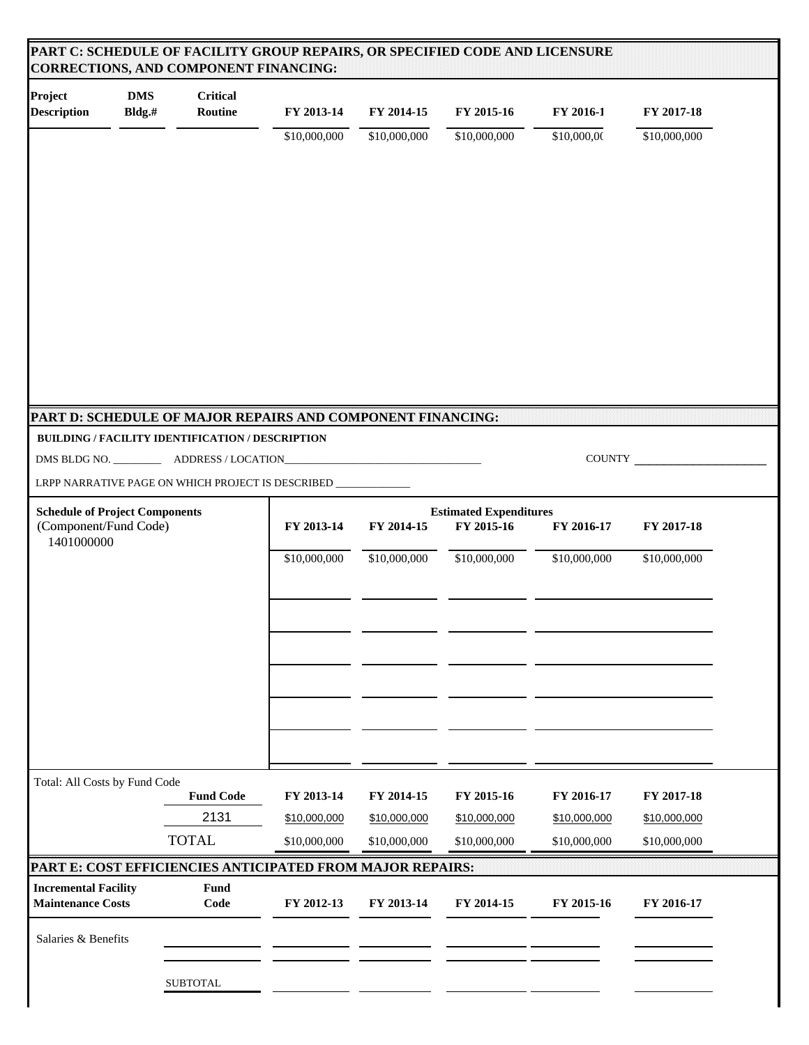| Project<br><b>Description</b>                                  | <b>DMS</b><br>Bldg.# | <b>Critical</b><br>Routine | FY 2013-14                                                    | FY 2014-15                                                                            | FY 2015-16   | FY 2016-1    | FY 2017-18   |  |
|----------------------------------------------------------------|----------------------|----------------------------|---------------------------------------------------------------|---------------------------------------------------------------------------------------|--------------|--------------|--------------|--|
|                                                                |                      |                            | \$10,000,000                                                  | \$10,000,000                                                                          | \$10,000,000 | \$10,000,00  | \$10,000,000 |  |
|                                                                |                      |                            |                                                               |                                                                                       |              |              |              |  |
|                                                                |                      |                            |                                                               |                                                                                       |              |              |              |  |
|                                                                |                      |                            |                                                               |                                                                                       |              |              |              |  |
|                                                                |                      |                            |                                                               |                                                                                       |              |              |              |  |
|                                                                |                      |                            |                                                               |                                                                                       |              |              |              |  |
|                                                                |                      |                            |                                                               |                                                                                       |              |              |              |  |
|                                                                |                      |                            |                                                               |                                                                                       |              |              |              |  |
|                                                                |                      |                            | PART D: SCHEDULE OF MAJOR REPAIRS AND COMPONENT FINANCING:    |                                                                                       |              |              |              |  |
| BUILDING / FACILITY IDENTIFICATION / DESCRIPTION               |                      |                            |                                                               |                                                                                       |              |              |              |  |
|                                                                |                      |                            |                                                               |                                                                                       |              |              | COUNTY       |  |
|                                                                |                      |                            | LRPP NARRATIVE PAGE ON WHICH PROJECT IS DESCRIBED ___________ |                                                                                       |              |              |              |  |
| <b>Schedule of Project Components</b><br>(Component/Fund Code) |                      |                            | FY 2013-14                                                    | <b>Estimated Expenditures</b><br>FY 2015-16<br>FY 2014-15<br>FY 2016-17<br>FY 2017-18 |              |              |              |  |
| 1401000000                                                     |                      |                            | \$10,000,000                                                  | \$10,000,000                                                                          | \$10,000,000 | \$10,000,000 | \$10,000,000 |  |
|                                                                |                      |                            |                                                               |                                                                                       |              |              |              |  |
|                                                                |                      |                            |                                                               |                                                                                       |              |              |              |  |
|                                                                |                      |                            |                                                               |                                                                                       |              |              |              |  |
|                                                                |                      |                            |                                                               |                                                                                       |              |              |              |  |
|                                                                |                      |                            |                                                               |                                                                                       |              |              |              |  |
|                                                                |                      |                            |                                                               |                                                                                       |              |              |              |  |
|                                                                |                      |                            |                                                               |                                                                                       |              |              |              |  |
|                                                                |                      |                            |                                                               |                                                                                       |              |              |              |  |
| Total: All Costs by Fund Code                                  |                      |                            |                                                               |                                                                                       |              |              |              |  |
|                                                                |                      | <b>Fund Code</b>           | FY 2013-14                                                    | FY 2014-15                                                                            | FY 2015-16   | FY 2016-17   | FY 2017-18   |  |
|                                                                |                      | 2131                       | \$10,000,000                                                  | \$10,000,000                                                                          | \$10,000,000 | \$10,000,000 | \$10,000,000 |  |
|                                                                |                      | <b>TOTAL</b>               | \$10,000,000                                                  | \$10,000,000                                                                          | \$10,000,000 | \$10,000,000 | \$10,000,000 |  |
| PART E: COST EFFICIENCIES ANTICIPATED FROM MAJOR REPAIRS:      |                      | <b>Fund</b>                |                                                               |                                                                                       |              |              |              |  |
| <b>Incremental Facility</b><br><b>Maintenance Costs</b>        |                      | Code                       | FY 2012-13                                                    | FY 2013-14                                                                            | FY 2014-15   | FY 2015-16   | FY 2016-17   |  |
| Salaries & Benefits                                            |                      |                            |                                                               |                                                                                       |              |              |              |  |
|                                                                |                      |                            |                                                               |                                                                                       |              |              |              |  |